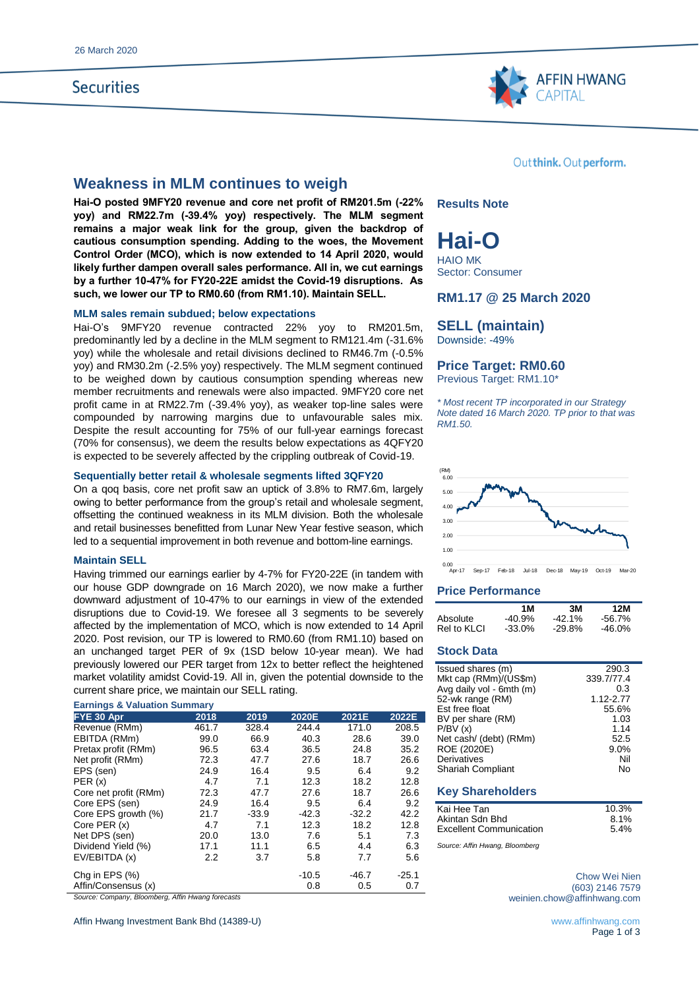## **Securities**



## **Weakness in MLM continues to weigh**

**Hai-O posted 9MFY20 revenue and core net profit of RM201.5m (-22% yoy) and RM22.7m (-39.4% yoy) respectively. The MLM segment remains a major weak link for the group, given the backdrop of cautious consumption spending. Adding to the woes, the Movement Control Order (MCO), which is now extended to 14 April 2020, would likely further dampen overall sales performance. All in, we cut earnings by a further 10-47% for FY20-22E amidst the Covid-19 disruptions. As such, we lower our TP to RM0.60 (from RM1.10). Maintain SELL.**

#### **MLM sales remain subdued; below expectations**

Hai-O's 9MFY20 revenue contracted 22% yoy to RM201.5m, predominantly led by a decline in the MLM segment to RM121.4m (-31.6% yoy) while the wholesale and retail divisions declined to RM46.7m (-0.5% yoy) and RM30.2m (-2.5% yoy) respectively. The MLM segment continued to be weighed down by cautious consumption spending whereas new member recruitments and renewals were also impacted. 9MFY20 core net profit came in at RM22.7m (-39.4% yoy), as weaker top-line sales were compounded by narrowing margins due to unfavourable sales mix. Despite the result accounting for 75% of our full-year earnings forecast (70% for consensus), we deem the results below expectations as 4QFY20 is expected to be severely affected by the crippling outbreak of Covid-19.

#### **Sequentially better retail & wholesale segments lifted 3QFY20**

On a qoq basis, core net profit saw an uptick of 3.8% to RM7.6m, largely owing to better performance from the group's retail and wholesale segment, offsetting the continued weakness in its MLM division. Both the wholesale and retail businesses benefitted from Lunar New Year festive season, which led to a sequential improvement in both revenue and bottom-line earnings.

#### **Maintain SELL**

Having trimmed our earnings earlier by 4-7% for FY20-22E (in tandem with our house GDP downgrade on 16 March 2020), we now make a further downward adjustment of 10-47% to our earnings in view of the extended disruptions due to Covid-19. We foresee all 3 segments to be severely affected by the implementation of MCO, which is now extended to 14 April 2020. Post revision, our TP is lowered to RM0.60 (from RM1.10) based on an unchanged target PER of 9x (1SD below 10-year mean). We had previously lowered our PER target from 12x to better reflect the heightened market volatility amidst Covid-19. All in, given the potential downside to the current share price, we maintain our SELL rating.

#### **Earnings & Valuation Summary**

| FYE 30 Apr            | 2018  | 2019    | 2020E   | 2021E   | 2022E   |
|-----------------------|-------|---------|---------|---------|---------|
| Revenue (RMm)         | 461.7 | 328.4   | 244.4   | 171.0   | 208.5   |
| EBITDA (RMm)          | 99.0  | 66.9    | 40.3    | 28.6    | 39.0    |
| Pretax profit (RMm)   | 96.5  | 63.4    | 36.5    | 24.8    | 35.2    |
| Net profit (RMm)      | 72.3  | 47.7    | 27.6    | 18.7    | 26.6    |
| EPS (sen)             | 24.9  | 16.4    | 9.5     | 6.4     | 9.2     |
| PER(x)                | 4.7   | 7.1     | 12.3    | 18.2    | 12.8    |
| Core net profit (RMm) | 72.3  | 47.7    | 27.6    | 18.7    | 26.6    |
| Core EPS (sen)        | 24.9  | 16.4    | 9.5     | 6.4     | 9.2     |
| Core EPS growth (%)   | 21.7  | $-33.9$ | $-42.3$ | $-32.2$ | 42.2    |
| Core PER (x)          | 4.7   | 7.1     | 12.3    | 18.2    | 12.8    |
| Net DPS (sen)         | 20.0  | 13.0    | 7.6     | 5.1     | 7.3     |
| Dividend Yield (%)    | 17.1  | 11.1    | 6.5     | 4.4     | 6.3     |
| EV/EBITDA (x)         | 2.2   | 3.7     | 5.8     | 7.7     | 5.6     |
| Chg in EPS $(\%)$     |       |         | $-10.5$ | $-46.7$ | $-25.1$ |
| Affin/Consensus (x)   |       |         | 0.8     | 0.5     | 0.7     |

*Source: Company, Bloomberg, Affin Hwang forecasts*

Affin Hwang Investment Bank Bhd (14389-U) **www.affinhwang.com** www.affinhwang.com

Out think. Out perform.

**Results Note**

**Hai-O** HAIO MK

Sector: Consumer

### **RM1.17 @ 25 March 2020**

## **SELL (maintain)**

Downside: -49%

### **Price Target: RM0.60**

Previous Target: RM1.10\*

*\* Most recent TP incorporated in our Strategy Note dated 16 March 2020. TP prior to that was RM1.50.*



0.00 Apr-17 Sep-17 Feb-18 Jul-18 Dec-18 May-19 Oct-19 Mar-20

#### **Price Performance**

|             | 1 M       | 3M        | 12M    |
|-------------|-----------|-----------|--------|
| Absolute    | $-40.9\%$ | $-42.1\%$ | -56.7% |
| Rel to KLCI | $-33.0%$  | $-29.8\%$ | -46.0% |

### **Stock Data**

| Issued shares (m)        | 290.3      |
|--------------------------|------------|
| Mkt cap (RMm)/(US\$m)    | 339.7/77.4 |
| Avg daily vol - 6mth (m) | 0.3        |
| 52-wk range (RM)         | 1.12-2.77  |
| Est free float           | 55.6%      |
| BV per share (RM)        | 1.03       |
| P/BV(x)                  | 1.14       |
| Net cash/ (debt) (RMm)   | 52.5       |
| ROE (2020E)              | 9.0%       |
| Derivatives              | Nil        |
| <b>Shariah Compliant</b> | N٥         |
|                          |            |

#### **Key Shareholders**

| Kai Hee Tan                    | 10.3% |
|--------------------------------|-------|
| Akintan Sdn Bhd                | 8.1%  |
| <b>Excellent Communication</b> | 5.4%  |

*Source: Affin Hwang, Bloomberg*

Chow Wei Nien (603) 2146 7579 weinien.chow@affinhwang.com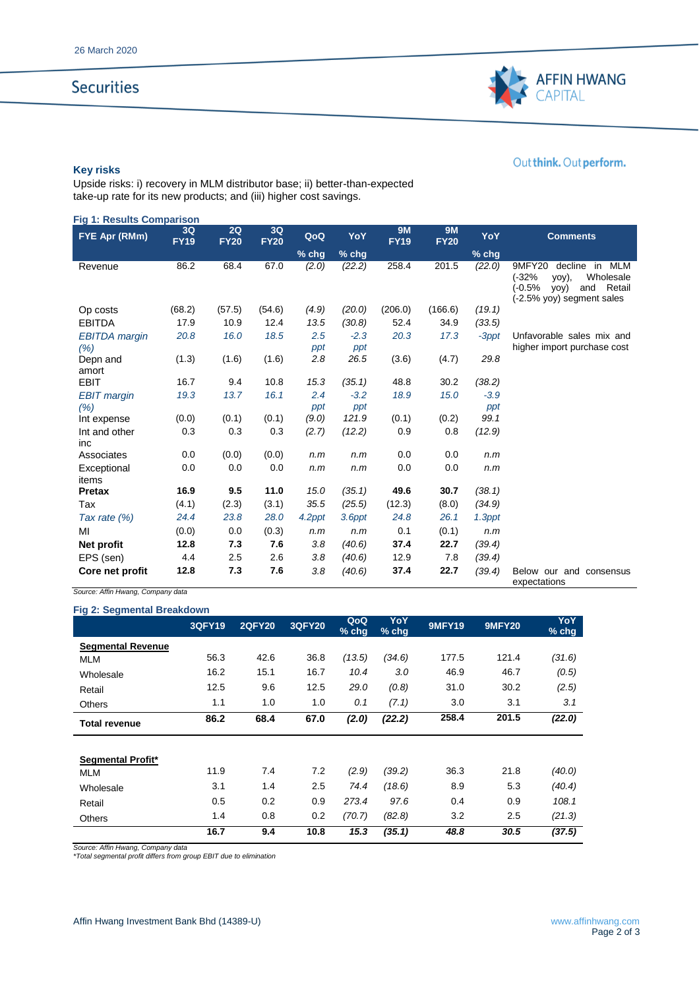# **Securities**



## Out think. Out perform.

### **Key risks**

Upside risks: i) recovery in MLM distributor base; ii) better-than-expected take-up rate for its new products; and (iii) higher cost savings.

| <b>Fig 1: Results Comparison</b> |                   |                   |                   |            |               |                          |                          |          |                                                                                                                                |
|----------------------------------|-------------------|-------------------|-------------------|------------|---------------|--------------------------|--------------------------|----------|--------------------------------------------------------------------------------------------------------------------------------|
| FYE Apr (RMm)                    | 3Q<br><b>FY19</b> | 2Q<br><b>FY20</b> | 3Q<br><b>FY20</b> | QoQ        | YoY           | <b>9M</b><br><b>FY19</b> | <b>9M</b><br><b>FY20</b> | YoY      | <b>Comments</b>                                                                                                                |
|                                  |                   |                   |                   | $%$ chg    | % chg         |                          |                          | $%$ chg  |                                                                                                                                |
| Revenue                          | 86.2              | 68.4              | 67.0              | (2.0)      | (22.2)        | 258.4                    | 201.5                    | (22.0)   | 9MFY20<br>decline in<br>MLM<br>$(-32%$<br>Wholesale<br>yoy),<br>$(-0.5%$<br>Retail<br>yoy)<br>and<br>(-2.5% yoy) segment sales |
| Op costs                         | (68.2)            | (57.5)            | (54.6)            | (4.9)      | (20.0)        | (206.0)                  | (166.6)                  | (19.1)   |                                                                                                                                |
| <b>EBITDA</b>                    | 17.9              | 10.9              | 12.4              | 13.5       | (30.8)        | 52.4                     | 34.9                     | (33.5)   |                                                                                                                                |
| <b>EBITDA</b> margin<br>(%)      | 20.8              | 16.0              | 18.5              | 2.5<br>ppt | $-2.3$<br>ppt | 20.3                     | 17.3                     | $-3$ ppt | Unfavorable sales mix and<br>higher import purchase cost                                                                       |
| Depn and                         | (1.3)             | (1.6)             | (1.6)             | 2.8        | 26.5          | (3.6)                    | (4.7)                    | 29.8     |                                                                                                                                |
| amort                            |                   |                   |                   |            |               |                          |                          |          |                                                                                                                                |
| <b>EBIT</b>                      | 16.7              | 9.4               | 10.8              | 15.3       | (35.1)        | 48.8                     | 30.2                     | (38.2)   |                                                                                                                                |
| <b>EBIT</b> margin               | 19.3              | 13.7              | 16.1              | 2.4        | $-3.2$        | 18.9                     | 15.0                     | $-3.9$   |                                                                                                                                |
| (%)                              |                   |                   |                   | ppt        | ppt           |                          |                          | ppt      |                                                                                                                                |
| Int expense                      | (0.0)             | (0.1)             | (0.1)             | (9.0)      | 121.9         | (0.1)                    | (0.2)                    | 99.1     |                                                                                                                                |
| Int and other<br>inc             | 0.3               | 0.3               | 0.3               | (2.7)      | (12.2)        | 0.9                      | 0.8                      | (12.9)   |                                                                                                                                |
| Associates                       | 0.0               | (0.0)             | (0.0)             | n.m        | n.m           | 0.0                      | 0.0                      | n.m      |                                                                                                                                |
| Exceptional<br>items             | 0.0               | 0.0               | 0.0               | n.m        | n.m           | 0.0                      | 0.0                      | n.m      |                                                                                                                                |
| Pretax                           | 16.9              | 9.5               | 11.0              | 15.0       | (35.1)        | 49.6                     | 30.7                     | (38.1)   |                                                                                                                                |
| Tax                              | (4.1)             | (2.3)             | (3.1)             | 35.5       | (25.5)        | (12.3)                   | (8.0)                    | (34.9)   |                                                                                                                                |
| Tax rate $(%)$                   | 24.4              | 23.8              | 28.0              | 4.2ppt     | 3.6ppt        | 24.8                     | 26.1                     | 1.3ppt   |                                                                                                                                |
| MI                               | (0.0)             | 0.0               | (0.3)             | n.m        | n.m           | 0.1                      | (0.1)                    | n.m      |                                                                                                                                |
| Net profit                       | 12.8              | 7.3               | 7.6               | 3.8        | (40.6)        | 37.4                     | 22.7                     | (39.4)   |                                                                                                                                |
| EPS (sen)                        | 4.4               | 2.5               | 2.6               | 3.8        | (40.6)        | 12.9                     | 7.8                      | (39.4)   |                                                                                                                                |
| Core net profit                  | 12.8              | 7.3               | 7.6               | 3.8        | (40.6)        | 37.4                     | 22.7                     | (39.4)   | Below our and consensus<br>expectations                                                                                        |

*Source: Affin Hwang, Company data*

**Fig 2: Segmental Breakdown**

| ng 2. Oogmental Dicakaowii | <b>3QFY19</b> | <b>2QFY20</b> | <b>3QFY20</b> | QoQ<br>% chg | YoY<br>$%$ chg | <b>9MFY19</b> | <b>9MFY20</b> | <b>YoY</b><br>$%$ chg |
|----------------------------|---------------|---------------|---------------|--------------|----------------|---------------|---------------|-----------------------|
| <b>Segmental Revenue</b>   |               |               |               |              |                |               |               |                       |
| <b>MLM</b>                 | 56.3          | 42.6          | 36.8          | (13.5)       | (34.6)         | 177.5         | 121.4         | (31.6)                |
| Wholesale                  | 16.2          | 15.1          | 16.7          | 10.4         | 3.0            | 46.9          | 46.7          | (0.5)                 |
| Retail                     | 12.5          | 9.6           | 12.5          | 29.0         | (0.8)          | 31.0          | 30.2          | (2.5)                 |
| <b>Others</b>              | 1.1           | 1.0           | 1.0           | 0.1          | (7.1)          | 3.0           | 3.1           | 3.1                   |
| <b>Total revenue</b>       | 86.2          | 68.4          | 67.0          | (2.0)        | (22.2)         | 258.4         | 201.5         | (22.0)                |
|                            |               |               |               |              |                |               |               |                       |
| Segmental Profit*          |               |               |               |              |                |               |               |                       |
| <b>MLM</b>                 | 11.9          | 7.4           | 7.2           | (2.9)        | (39.2)         | 36.3          | 21.8          | (40.0)                |
| Wholesale                  | 3.1           | 1.4           | 2.5           | 74.4         | (18.6)         | 8.9           | 5.3           | (40.4)                |
| Retail                     | 0.5           | 0.2           | 0.9           | 273.4        | 97.6           | 0.4           | 0.9           | 108.1                 |
| <b>Others</b>              | 1.4           | 0.8           | 0.2           | (70.7)       | (82.8)         | 3.2           | 2.5           | (21.3)                |
|                            | 16.7          | 9.4           | 10.8          | 15.3         | (35.1)         | 48.8          | 30.5          | (37.5)                |

*Source: Affin Hwang, Company data \*Total segmental profit differs from group EBIT due to elimination*